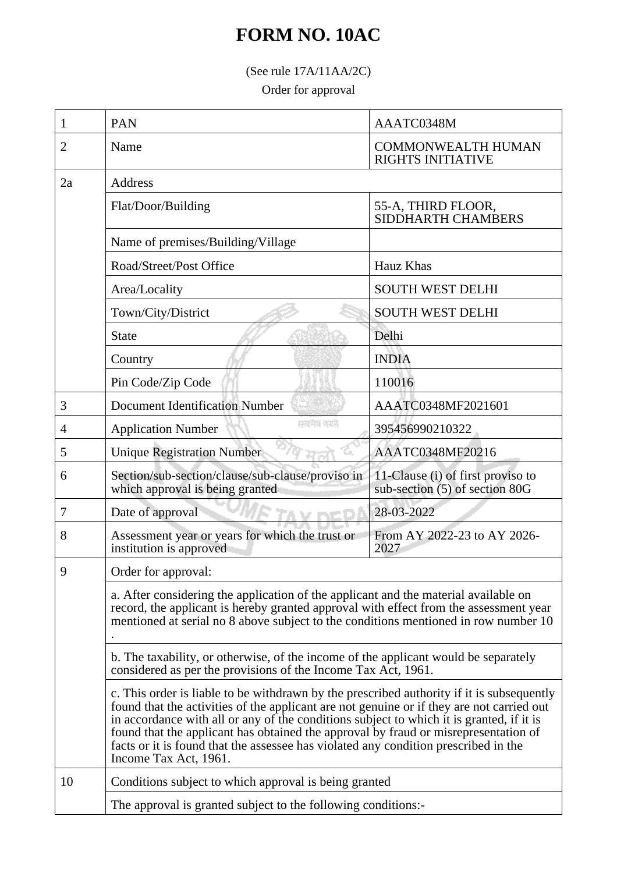## **FORM NO. 10AC**

(See rule 17A/11AA/2C)

Order for approval

| 1  | PAN                                                                                                                                                                                                                                                                                                                                                                                                                                                                                       | AAATC0348M                                                          |  |
|----|-------------------------------------------------------------------------------------------------------------------------------------------------------------------------------------------------------------------------------------------------------------------------------------------------------------------------------------------------------------------------------------------------------------------------------------------------------------------------------------------|---------------------------------------------------------------------|--|
| 2  | Name                                                                                                                                                                                                                                                                                                                                                                                                                                                                                      | <b>COMMONWEALTH HUMAN</b><br><b>RIGHTS INITIATIVE</b>               |  |
| 2a | Address                                                                                                                                                                                                                                                                                                                                                                                                                                                                                   |                                                                     |  |
|    | Flat/Door/Building                                                                                                                                                                                                                                                                                                                                                                                                                                                                        | 55-A, THIRD FLOOR,<br>SIDDHARTH CHAMBERS                            |  |
|    | Name of premises/Building/Village                                                                                                                                                                                                                                                                                                                                                                                                                                                         |                                                                     |  |
|    | Road/Street/Post Office                                                                                                                                                                                                                                                                                                                                                                                                                                                                   | Hauz Khas                                                           |  |
|    | Area/Locality                                                                                                                                                                                                                                                                                                                                                                                                                                                                             | <b>SOUTH WEST DELHI</b>                                             |  |
|    | Town/City/District                                                                                                                                                                                                                                                                                                                                                                                                                                                                        | <b>SOUTH WEST DELHI</b>                                             |  |
|    | <b>State</b>                                                                                                                                                                                                                                                                                                                                                                                                                                                                              | Delhi                                                               |  |
|    | Country                                                                                                                                                                                                                                                                                                                                                                                                                                                                                   | <b>INDIA</b>                                                        |  |
|    | Pin Code/Zip Code                                                                                                                                                                                                                                                                                                                                                                                                                                                                         | 110016                                                              |  |
| 3  | <b>Document Identification Number</b>                                                                                                                                                                                                                                                                                                                                                                                                                                                     | AAATC0348MF2021601                                                  |  |
| 4  | सम्बद्धानम् अपाले<br><b>Application Number</b>                                                                                                                                                                                                                                                                                                                                                                                                                                            | 395456990210322                                                     |  |
| 5  | <b>Unique Registration Number</b>                                                                                                                                                                                                                                                                                                                                                                                                                                                         | AAATC0348MF20216                                                    |  |
| 6  | Section/sub-section/clause/sub-clause/proviso in<br>which approval is being granted                                                                                                                                                                                                                                                                                                                                                                                                       | 11-Clause (i) of first proviso to<br>sub-section (5) of section 80G |  |
| 7  | Date of approval                                                                                                                                                                                                                                                                                                                                                                                                                                                                          | 28-03-2022                                                          |  |
| 8  | Assessment year or years for which the trust or<br>institution is approved                                                                                                                                                                                                                                                                                                                                                                                                                | From AY 2022-23 to AY 2026-<br>2027                                 |  |
| 9  | Order for approval:                                                                                                                                                                                                                                                                                                                                                                                                                                                                       |                                                                     |  |
|    | a. After considering the application of the applicant and the material available on<br>record, the applicant is hereby granted approval with effect from the assessment year<br>mentioned at serial no 8 above subject to the conditions mentioned in row number 10                                                                                                                                                                                                                       |                                                                     |  |
|    | b. The taxability, or otherwise, of the income of the applicant would be separately<br>considered as per the provisions of the Income Tax Act, 1961.                                                                                                                                                                                                                                                                                                                                      |                                                                     |  |
|    | c. This order is liable to be withdrawn by the prescribed authority if it is subsequently<br>found that the activities of the applicant are not genuine or if they are not carried out<br>in accordance with all or any of the conditions subject to which it is granted, if it is<br>found that the applicant has obtained the approval by fraud or misrepresentation of<br>facts or it is found that the assessee has violated any condition prescribed in the<br>Income Tax Act, 1961. |                                                                     |  |
| 10 | Conditions subject to which approval is being granted<br>The approval is granted subject to the following conditions:                                                                                                                                                                                                                                                                                                                                                                     |                                                                     |  |
|    |                                                                                                                                                                                                                                                                                                                                                                                                                                                                                           |                                                                     |  |